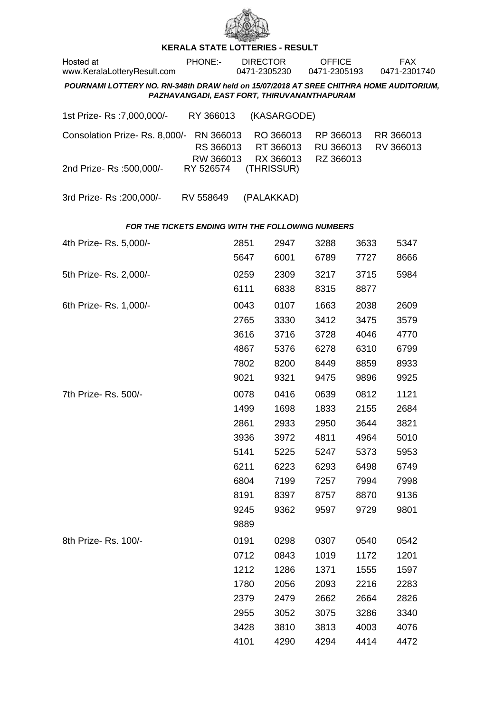

## **KERALA STATE LOTTERIES - RESULT**

| Hosted at<br>www.KeralaLotteryResult.com                                               | PHONE:-                                     | <b>DIRECTOR</b><br>0471-2305230 |                                     | <b>OFFICE</b><br>0471-2305193       |      | <b>FAX</b><br>0471-2301740 |  |  |
|----------------------------------------------------------------------------------------|---------------------------------------------|---------------------------------|-------------------------------------|-------------------------------------|------|----------------------------|--|--|
| POURNAMI LOTTERY NO. RN-348th DRAW held on 15/07/2018 AT SREE CHITHRA HOME AUDITORIUM, | PAZHAVANGADI, EAST FORT, THIRUVANANTHAPURAM |                                 |                                     |                                     |      |                            |  |  |
| 1st Prize- Rs : 7,000,000/-                                                            | RY 366013                                   |                                 | (KASARGODE)                         |                                     |      |                            |  |  |
| Consolation Prize-Rs. 8,000/-                                                          | RN 366013<br>RS 366013<br>RW 366013         |                                 | RO 366013<br>RT 366013<br>RX 366013 | RP 366013<br>RU 366013<br>RZ 366013 |      | RR 366013<br>RV 366013     |  |  |
| 2nd Prize-Rs: 500,000/-                                                                | RY 526574                                   |                                 | (THRISSUR)                          |                                     |      |                            |  |  |
| 3rd Prize-Rs: 200,000/-                                                                | RV 558649                                   |                                 | (PALAKKAD)                          |                                     |      |                            |  |  |
| <b>FOR THE TICKETS ENDING WITH THE FOLLOWING NUMBERS</b>                               |                                             |                                 |                                     |                                     |      |                            |  |  |
| 4th Prize- Rs. 5,000/-                                                                 |                                             | 2851                            | 2947                                | 3288                                | 3633 | 5347                       |  |  |
|                                                                                        |                                             | 5647                            | 6001                                | 6789                                | 7727 | 8666                       |  |  |

| 5th Prize-Rs. 2,000/-  | 0259 | 2309 | 3217 | 3715 | 5984 |
|------------------------|------|------|------|------|------|
|                        | 6111 | 6838 | 8315 | 8877 |      |
| 6th Prize- Rs. 1,000/- | 0043 | 0107 | 1663 | 2038 | 2609 |
|                        | 2765 | 3330 | 3412 | 3475 | 3579 |
|                        | 3616 | 3716 | 3728 | 4046 | 4770 |
|                        | 4867 | 5376 | 6278 | 6310 | 6799 |
|                        | 7802 | 8200 | 8449 | 8859 | 8933 |
|                        | 9021 | 9321 | 9475 | 9896 | 9925 |
| 7th Prize-Rs. 500/-    | 0078 | 0416 | 0639 | 0812 | 1121 |
|                        | 1499 | 1698 | 1833 | 2155 | 2684 |
|                        | 2861 | 2933 | 2950 | 3644 | 3821 |
|                        | 3936 | 3972 | 4811 | 4964 | 5010 |
|                        | 5141 | 5225 | 5247 | 5373 | 5953 |
|                        | 6211 | 6223 | 6293 | 6498 | 6749 |
|                        | 6804 | 7199 | 7257 | 7994 | 7998 |
|                        | 8191 | 8397 | 8757 | 8870 | 9136 |
|                        | 9245 | 9362 | 9597 | 9729 | 9801 |
|                        | 9889 |      |      |      |      |
| 8th Prize-Rs. 100/-    | 0191 | 0298 | 0307 | 0540 | 0542 |
|                        | 0712 | 0843 | 1019 | 1172 | 1201 |
|                        | 1212 | 1286 | 1371 | 1555 | 1597 |
|                        | 1780 | 2056 | 2093 | 2216 | 2283 |
|                        | 2379 | 2479 | 2662 | 2664 | 2826 |
|                        | 2955 | 3052 | 3075 | 3286 | 3340 |
|                        | 3428 | 3810 | 3813 | 4003 | 4076 |
|                        | 4101 | 4290 | 4294 | 4414 | 4472 |
|                        |      |      |      |      |      |